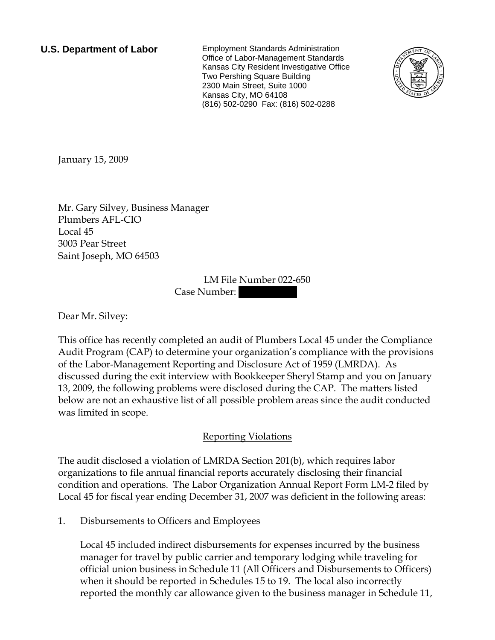**U.S. Department of Labor** Employment Standards Administration Office of Labor-Management Standards Kansas City Resident Investigative Office Two Pershing Square Building 2300 Main Street, Suite 1000 Kansas City, MO 64108 (816) 502-0290 Fax: (816) 502-0288



<span id="page-0-0"></span>January 15, 2009

[Mr.](#page-0-0) [Gary](#page-0-0) [Silvey](#page-0-0), [Business Manager](#page-0-0)  [Plumbers AFL-CIO](#page-0-0)  [Local 45](#page-0-0)  [3003 Pear Street](#page-0-0)  [Saint Joseph, MO 64503](#page-0-0) 

> LM File Number [022-650](#page-0-0)  Case Number:

Dear [Mr.](#page-0-0) [Silvey](#page-0-0):

This office has recently completed an audit of [Plumbers Local 45](#page-0-0) under the Compliance Audit Program (CAP) to determine your organization's compliance with the provisions of the Labor-Management Reporting and Disclosure Act of 1959 (LMRDA). As discussed during the exit interview with [Bookkeeper Sheryl Stamp and you](#page-0-0) on [January](#page-0-0)  [13, 2009](#page-0-0), the following problems were disclosed during the CAP. The matters listed below are not an exhaustive list of all possible problem areas since the audit conducted was limited in scope.

## Reporting Violations

The audit disclosed a violation of LMRDA Section 201(b), which requires labor organizations to file annual financial reports accurately disclosing their financial condition and operations. The Labor Organization Annual Report Form LM-2 filed by Local 45 for fiscal year ending December 31, 2007 was deficient in the following areas:

1. Disbursements to Officers and Employees

Local 45 included indirect disbursements for expenses incurred by the business manager for travel by public carrier and temporary lodging while traveling for official union business in Schedule 11 (All Officers and Disbursements to Officers) when it should be reported in Schedules 15 to 19. The local also incorrectly reported the monthly car allowance given to the business manager in Schedule 11,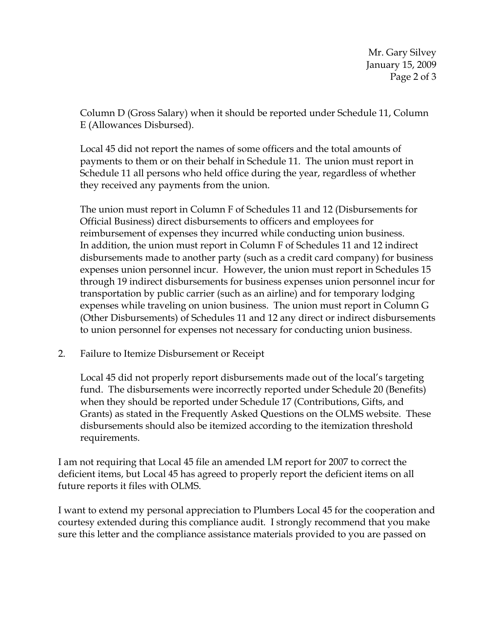Mr. Gary Silvey January 15, 2009 Page 2 of 3

Column D (Gross Salary) when it should be reported under Schedule 11, Column E (Allowances Disbursed).

Local 45 did not report the names of some officers and the total amounts of payments to them or on their behalf in Schedule 11. The union must report in Schedule 11 all persons who held office during the year, regardless of whether they received any payments from the union.

The union must report in Column F of Schedules 11 and 12 (Disbursements for Official Business) direct disbursements to officers and employees for reimbursement of expenses they incurred while conducting union business. In addition, the union must report in Column F of Schedules 11 and 12 indirect disbursements made to another party (such as a credit card company) for business expenses union personnel incur. However, the union must report in Schedules 15 through 19 indirect disbursements for business expenses union personnel incur for transportation by public carrier (such as an airline) and for temporary lodging expenses while traveling on union business. The union must report in Column G (Other Disbursements) of Schedules 11 and 12 any direct or indirect disbursements to union personnel for expenses not necessary for conducting union business.

2. Failure to Itemize Disbursement or Receipt

Local 45 did not properly report disbursements made out of the local's targeting fund. The disbursements were incorrectly reported under Schedule 20 (Benefits) when they should be reported under Schedule 17 (Contributions, Gifts, and Grants) as stated in the Frequently Asked Questions on the OLMS website. These disbursements should also be itemized according to the itemization threshold requirements.

I am not requiring that Local 45 file an amended LM report for 2007 to correct the deficient items, but Local 45 has agreed to properly report the deficient items on all future reports it files with OLMS.

I want to extend my personal appreciation to [Plumbers Local 45](#page-0-0) for the cooperation and courtesy extended during this compliance audit. I strongly recommend that you make sure this letter and the compliance assistance materials provided to you are passed on